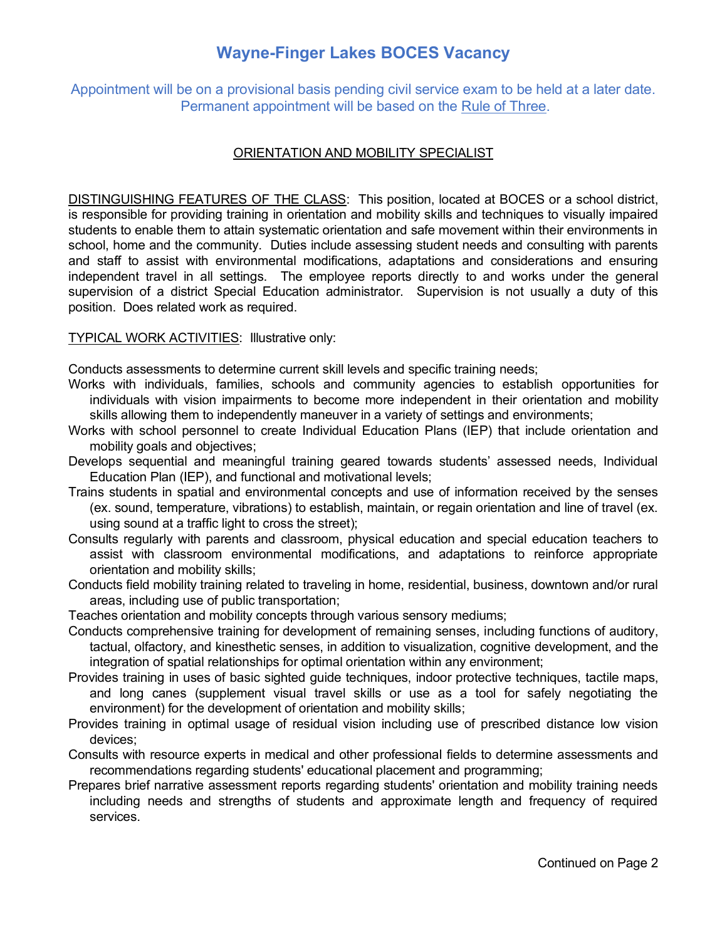# **Wayne-Finger Lakes BOCES Vacancy**

Appointment will be on a provisional basis pending civil service exam to be held at a later date. Permanent appointment will be based on the Rule of Three.

### ORIENTATION AND MOBILITY SPECIALIST

DISTINGUISHING FEATURES OF THE CLASS: This position, located at BOCES or a school district, is responsible for providing training in orientation and mobility skills and techniques to visually impaired students to enable them to attain systematic orientation and safe movement within their environments in school, home and the community. Duties include assessing student needs and consulting with parents and staff to assist with environmental modifications, adaptations and considerations and ensuring independent travel in all settings. The employee reports directly to and works under the general supervision of a district Special Education administrator. Supervision is not usually a duty of this position. Does related work as required.

#### TYPICAL WORK ACTIVITIES: Illustrative only:

Conducts assessments to determine current skill levels and specific training needs;

- Works with individuals, families, schools and community agencies to establish opportunities for individuals with vision impairments to become more independent in their orientation and mobility skills allowing them to independently maneuver in a variety of settings and environments;
- Works with school personnel to create Individual Education Plans (IEP) that include orientation and mobility goals and objectives;
- Develops sequential and meaningful training geared towards students' assessed needs, Individual Education Plan (IEP), and functional and motivational levels;
- Trains students in spatial and environmental concepts and use of information received by the senses (ex. sound, temperature, vibrations) to establish, maintain, or regain orientation and line of travel (ex. using sound at a traffic light to cross the street);
- Consults regularly with parents and classroom, physical education and special education teachers to assist with classroom environmental modifications, and adaptations to reinforce appropriate orientation and mobility skills;
- Conducts field mobility training related to traveling in home, residential, business, downtown and/or rural areas, including use of public transportation;

Teaches orientation and mobility concepts through various sensory mediums;

- Conducts comprehensive training for development of remaining senses, including functions of auditory, tactual, olfactory, and kinesthetic senses, in addition to visualization, cognitive development, and the integration of spatial relationships for optimal orientation within any environment;
- Provides training in uses of basic sighted guide techniques, indoor protective techniques, tactile maps, and long canes (supplement visual travel skills or use as a tool for safely negotiating the environment) for the development of orientation and mobility skills;
- Provides training in optimal usage of residual vision including use of prescribed distance low vision devices;
- Consults with resource experts in medical and other professional fields to determine assessments and recommendations regarding students' educational placement and programming;
- Prepares brief narrative assessment reports regarding students' orientation and mobility training needs including needs and strengths of students and approximate length and frequency of required services.